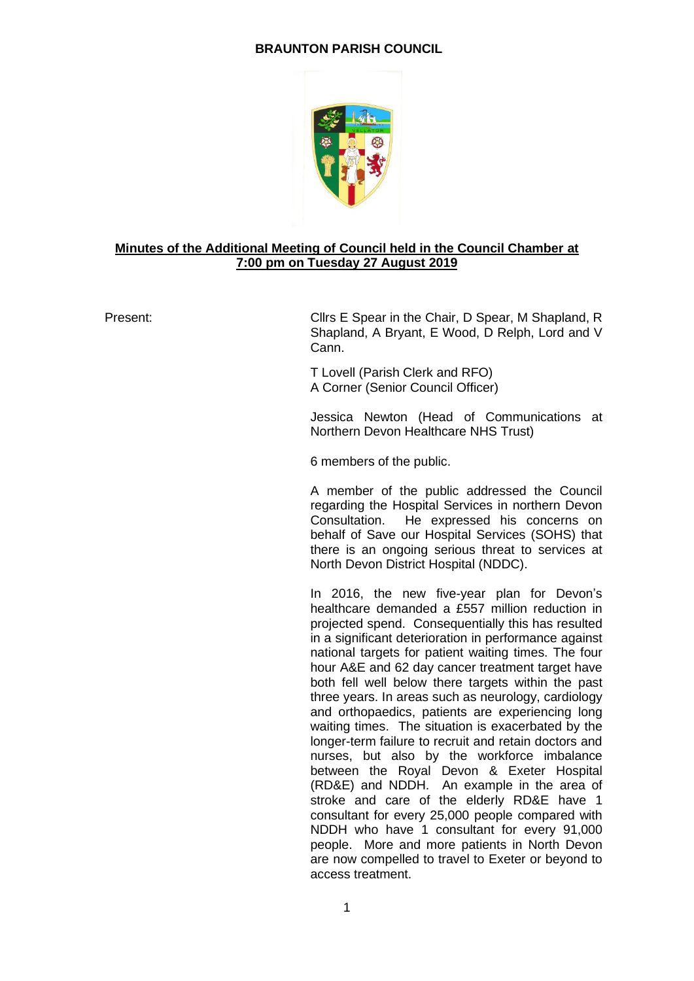# **BRAUNTON PARISH COUNCIL**



## **Minutes of the Additional Meeting of Council held in the Council Chamber at 7:00 pm on Tuesday 27 August 2019**

Present: Cllrs E Spear in the Chair, D Spear, M Shapland, R Shapland, A Bryant, E Wood, D Relph, Lord and V Cann.

> T Lovell (Parish Clerk and RFO) A Corner (Senior Council Officer)

Jessica Newton (Head of Communications at Northern Devon Healthcare NHS Trust)

6 members of the public.

A member of the public addressed the Council regarding the Hospital Services in northern Devon Consultation. He expressed his concerns on behalf of Save our Hospital Services (SOHS) that there is an ongoing serious threat to services at North Devon District Hospital (NDDC).

In 2016, the new five-year plan for Devon's healthcare demanded a £557 million reduction in projected spend. Consequentially this has resulted in a significant deterioration in performance against national targets for patient waiting times. The four hour A&E and 62 day cancer treatment target have both fell well below there targets within the past three years. In areas such as neurology, cardiology and orthopaedics, patients are experiencing long waiting times. The situation is exacerbated by the longer-term failure to recruit and retain doctors and nurses, but also by the workforce imbalance between the Royal Devon & Exeter Hospital (RD&E) and NDDH. An example in the area of stroke and care of the elderly RD&E have 1 consultant for every 25,000 people compared with NDDH who have 1 consultant for every 91,000 people. More and more patients in North Devon are now compelled to travel to Exeter or beyond to access treatment.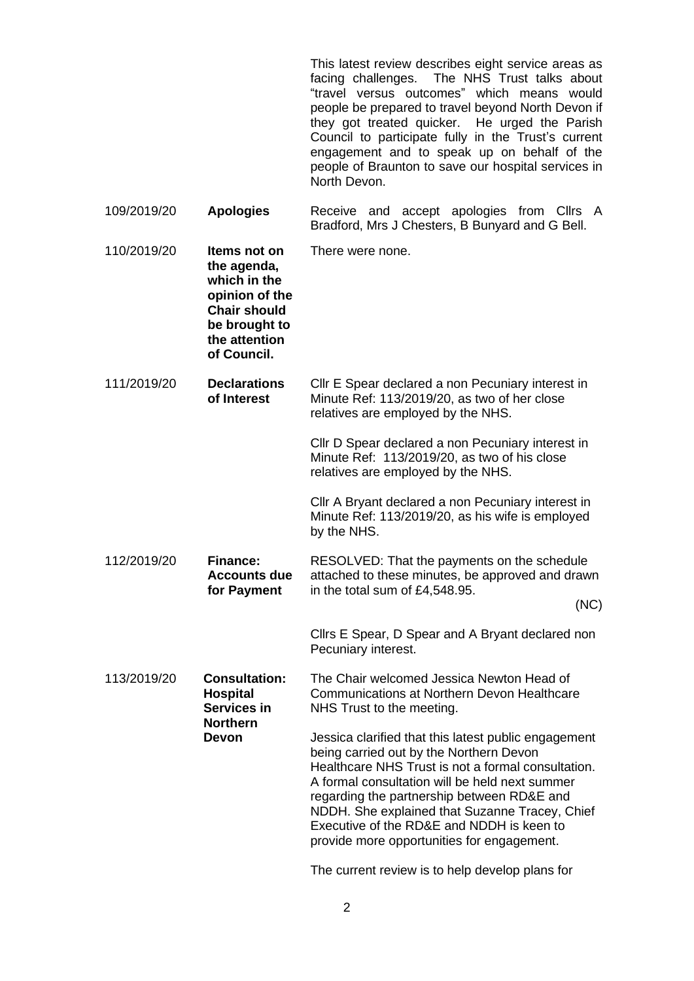This latest review describes eight service areas as facing challenges. The NHS Trust talks about "travel versus outcomes" which means would people be prepared to travel beyond North Devon if they got treated quicker. He urged the Parish Council to participate fully in the Trust's current engagement and to speak up on behalf of the people of Braunton to save our hospital services in North Devon.

109/2019/20 **Apologies** Receive and accept apologies from Cllrs A Bradford, Mrs J Chesters, B Bunyard and G Bell. 110/2019/20 **Items not on the agenda, which in the opinion of the Chair should be brought to the attention of Council.** There were none.

111/2019/20 **Declarations of Interest** Cllr E Spear declared a non Pecuniary interest in Minute Ref: 113/2019/20, as two of her close relatives are employed by the NHS.

> Cllr D Spear declared a non Pecuniary interest in Minute Ref: 113/2019/20, as two of his close relatives are employed by the NHS.

> Cllr A Bryant declared a non Pecuniary interest in Minute Ref: 113/2019/20, as his wife is employed by the NHS.

112/2019/20 **Finance: Accounts due for Payment** RESOLVED: That the payments on the schedule attached to these minutes, be approved and drawn in the total sum of £4,548.95. (NC)

> Cllrs E Spear, D Spear and A Bryant declared non Pecuniary interest.

113/2019/20 **Consultation: Hospital Services in Northern Devon** The Chair welcomed Jessica Newton Head of Communications at Northern Devon Healthcare NHS Trust to the meeting. Jessica clarified that this latest public engagement being carried out by the Northern Devon Healthcare NHS Trust is not a formal consultation. A formal consultation will be held next summer regarding the partnership between RD&E and NDDH. She explained that Suzanne Tracey, Chief Executive of the RD&E and NDDH is keen to provide more opportunities for engagement.

The current review is to help develop plans for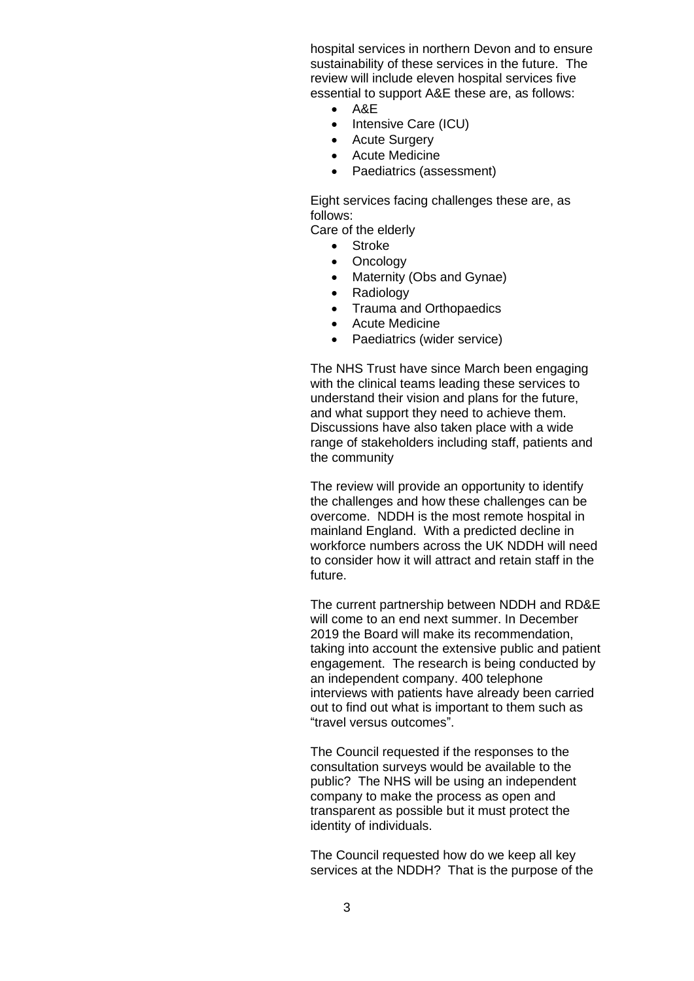hospital services in northern Devon and to ensure sustainability of these services in the future. The review will include eleven hospital services five essential to support A&E these are, as follows:

- A&E
- Intensive Care (ICU)
- Acute Surgery
- Acute Medicine
- Paediatrics (assessment)

Eight services facing challenges these are, as follows:

Care of the elderly

- Stroke
- Oncology
- Maternity (Obs and Gynae)
- Radiology
- Trauma and Orthopaedics
- Acute Medicine
- Paediatrics (wider service)

The NHS Trust have since March been engaging with the clinical teams leading these services to understand their vision and plans for the future, and what support they need to achieve them. Discussions have also taken place with a wide range of stakeholders including staff, patients and the community

The review will provide an opportunity to identify the challenges and how these challenges can be overcome. NDDH is the most remote hospital in mainland England. With a predicted decline in workforce numbers across the UK NDDH will need to consider how it will attract and retain staff in the future.

The current partnership between NDDH and RD&E will come to an end next summer. In December 2019 the Board will make its recommendation, taking into account the extensive public and patient engagement. The research is being conducted by an independent company. 400 telephone interviews with patients have already been carried out to find out what is important to them such as "travel versus outcomes".

The Council requested if the responses to the consultation surveys would be available to the public? The NHS will be using an independent company to make the process as open and transparent as possible but it must protect the identity of individuals.

The Council requested how do we keep all key services at the NDDH? That is the purpose of the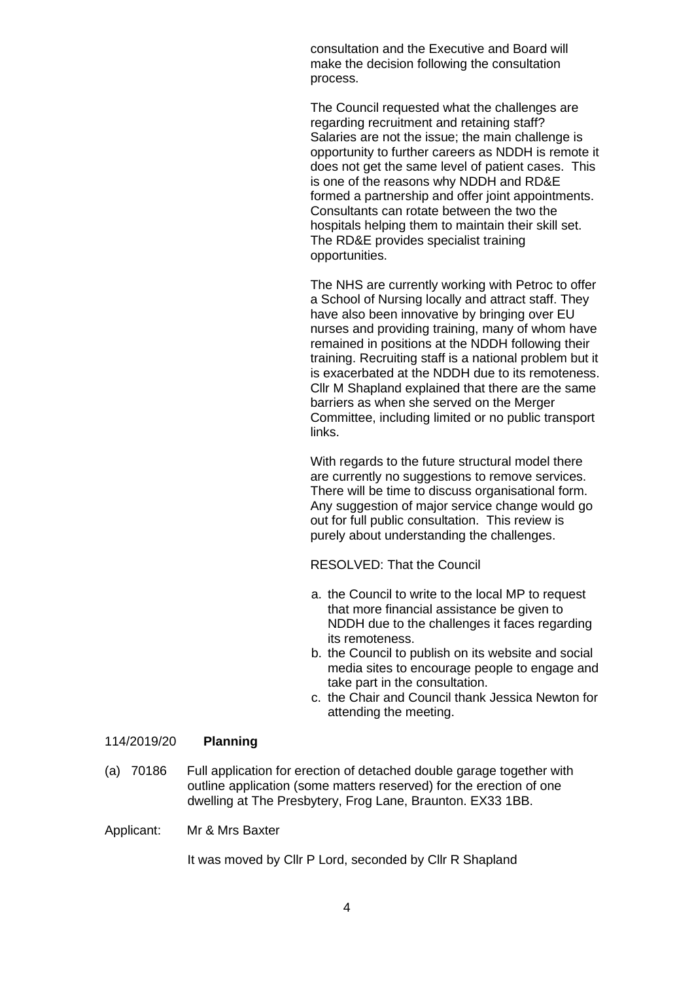consultation and the Executive and Board will make the decision following the consultation process.

The Council requested what the challenges are regarding recruitment and retaining staff? Salaries are not the issue; the main challenge is opportunity to further careers as NDDH is remote it does not get the same level of patient cases. This is one of the reasons why NDDH and RD&E formed a partnership and offer joint appointments. Consultants can rotate between the two the hospitals helping them to maintain their skill set. The RD&E provides specialist training opportunities.

The NHS are currently working with Petroc to offer a School of Nursing locally and attract staff. They have also been innovative by bringing over EU nurses and providing training, many of whom have remained in positions at the NDDH following their training. Recruiting staff is a national problem but it is exacerbated at the NDDH due to its remoteness. Cllr M Shapland explained that there are the same barriers as when she served on the Merger Committee, including limited or no public transport links.

With regards to the future structural model there are currently no suggestions to remove services. There will be time to discuss organisational form. Any suggestion of major service change would go out for full public consultation. This review is purely about understanding the challenges.

RESOLVED: That the Council

- a. the Council to write to the local MP to request that more financial assistance be given to NDDH due to the challenges it faces regarding its remoteness.
- b. the Council to publish on its website and social media sites to encourage people to engage and take part in the consultation.
- c. the Chair and Council thank Jessica Newton for attending the meeting.

#### 114/2019/20 **Planning**

(a) 70186 Full application for erection of detached double garage together with outline application (some matters reserved) for the erection of one dwelling at The Presbytery, Frog Lane, Braunton. EX33 1BB.

Applicant: Mr & Mrs Baxter

It was moved by Cllr P Lord, seconded by Cllr R Shapland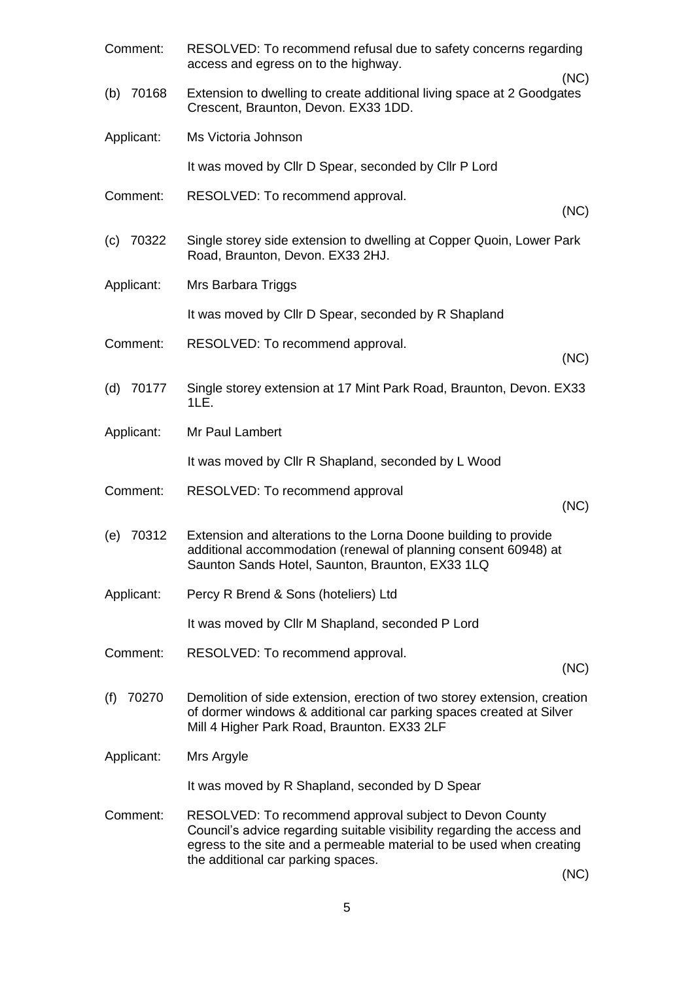| Comment:     | RESOLVED: To recommend refusal due to safety concerns regarding<br>access and egress on to the highway.                                                                                                                                                        |
|--------------|----------------------------------------------------------------------------------------------------------------------------------------------------------------------------------------------------------------------------------------------------------------|
| (b) $70168$  | (NC)<br>Extension to dwelling to create additional living space at 2 Goodgates<br>Crescent, Braunton, Devon. EX33 1DD.                                                                                                                                         |
| Applicant:   | Ms Victoria Johnson                                                                                                                                                                                                                                            |
|              | It was moved by Cllr D Spear, seconded by Cllr P Lord                                                                                                                                                                                                          |
| Comment:     | RESOLVED: To recommend approval.<br>(NC)                                                                                                                                                                                                                       |
| $(c)$ 70322  | Single storey side extension to dwelling at Copper Quoin, Lower Park<br>Road, Braunton, Devon. EX33 2HJ.                                                                                                                                                       |
| Applicant:   | Mrs Barbara Triggs                                                                                                                                                                                                                                             |
|              | It was moved by Cllr D Spear, seconded by R Shapland                                                                                                                                                                                                           |
| Comment:     | RESOLVED: To recommend approval.<br>(NC)                                                                                                                                                                                                                       |
| $(d)$ 70177  | Single storey extension at 17 Mint Park Road, Braunton, Devon. EX33<br>1LE.                                                                                                                                                                                    |
| Applicant:   | Mr Paul Lambert                                                                                                                                                                                                                                                |
|              | It was moved by Cllr R Shapland, seconded by L Wood                                                                                                                                                                                                            |
| Comment:     | RESOLVED: To recommend approval<br>(NC)                                                                                                                                                                                                                        |
| 70312<br>(e) | Extension and alterations to the Lorna Doone building to provide<br>additional accommodation (renewal of planning consent 60948) at<br>Saunton Sands Hotel, Saunton, Braunton, EX33 1LQ                                                                        |
| Applicant:   | Percy R Brend & Sons (hoteliers) Ltd                                                                                                                                                                                                                           |
|              | It was moved by Cllr M Shapland, seconded P Lord                                                                                                                                                                                                               |
| Comment:     | RESOLVED: To recommend approval.<br>(NC)                                                                                                                                                                                                                       |
| 70270<br>(f) | Demolition of side extension, erection of two storey extension, creation<br>of dormer windows & additional car parking spaces created at Silver<br>Mill 4 Higher Park Road, Braunton. EX33 2LF                                                                 |
| Applicant:   | Mrs Argyle                                                                                                                                                                                                                                                     |
|              | It was moved by R Shapland, seconded by D Spear                                                                                                                                                                                                                |
| Comment:     | RESOLVED: To recommend approval subject to Devon County<br>Council's advice regarding suitable visibility regarding the access and<br>egress to the site and a permeable material to be used when creating<br>the additional car parking spaces.<br>$\sqrt{N}$ |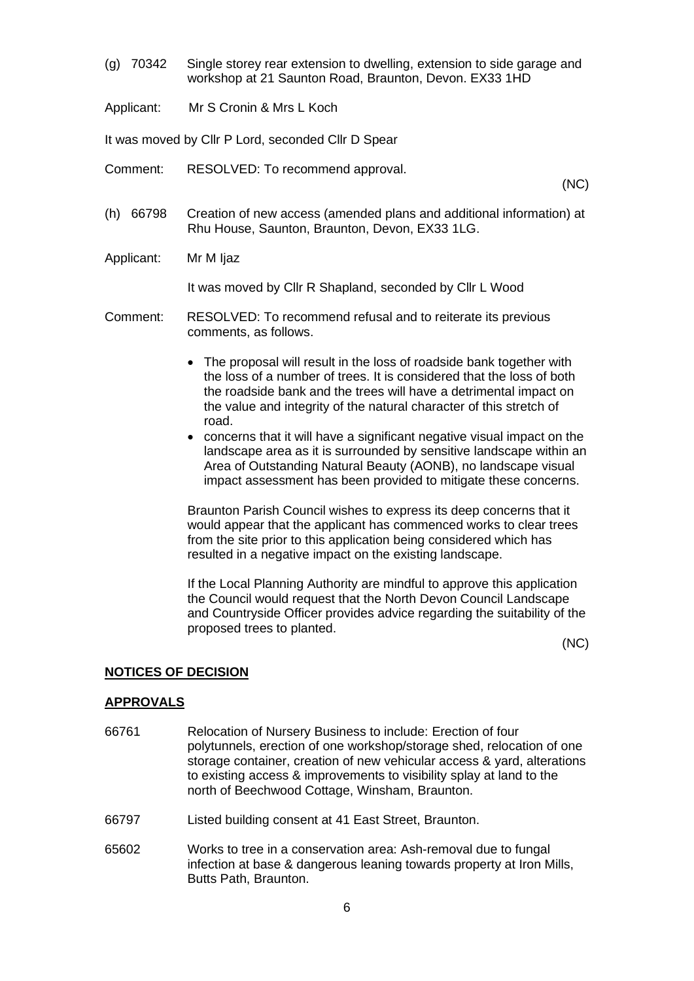- (g) 70342 Single storey rear extension to dwelling, extension to side garage and workshop at 21 Saunton Road, Braunton, Devon. EX33 1HD
- Applicant: Mr S Cronin & Mrs L Koch

It was moved by Cllr P Lord, seconded Cllr D Spear

Comment: RESOLVED: To recommend approval.

(NC)

- (h) 66798 Creation of new access (amended plans and additional information) at Rhu House, Saunton, Braunton, Devon, EX33 1LG.
- Applicant: Mr M Ijaz

It was moved by Cllr R Shapland, seconded by Cllr L Wood

- Comment: RESOLVED: To recommend refusal and to reiterate its previous comments, as follows.
	- The proposal will result in the loss of roadside bank together with the loss of a number of trees. It is considered that the loss of both the roadside bank and the trees will have a detrimental impact on the value and integrity of the natural character of this stretch of road.
	- concerns that it will have a significant negative visual impact on the landscape area as it is surrounded by sensitive landscape within an Area of Outstanding Natural Beauty (AONB), no landscape visual impact assessment has been provided to mitigate these concerns.

Braunton Parish Council wishes to express its deep concerns that it would appear that the applicant has commenced works to clear trees from the site prior to this application being considered which has resulted in a negative impact on the existing landscape.

If the Local Planning Authority are mindful to approve this application the Council would request that the North Devon Council Landscape and Countryside Officer provides advice regarding the suitability of the proposed trees to planted.

(NC)

#### **NOTICES OF DECISION**

#### **APPROVALS**

- 66761 Relocation of Nursery Business to include: Erection of four polytunnels, erection of one workshop/storage shed, relocation of one storage container, creation of new vehicular access & yard, alterations to existing access & improvements to visibility splay at land to the north of Beechwood Cottage, Winsham, Braunton.
- 66797 Listed building consent at 41 East Street, Braunton.
- 65602 Works to tree in a conservation area: Ash-removal due to fungal infection at base & dangerous leaning towards property at Iron Mills, Butts Path, Braunton.